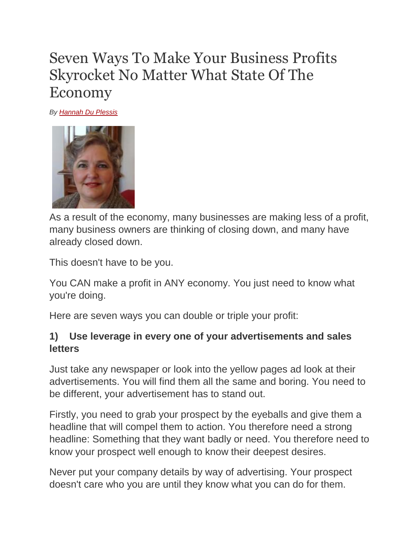# Seven Ways To Make Your Business Profits Skyrocket No Matter What State Of The Economy

*By [Hannah Du Plessis](http://ezinearticles.com/?expert=Hannah_Du_Plessis)*



As a result of the economy, many businesses are making less of a profit, many business owners are thinking of closing down, and many have already closed down.

This doesn't have to be you.

You CAN make a profit in ANY economy. You just need to know what you're doing.

Here are seven ways you can double or triple your profit:

#### **1) Use leverage in every one of your advertisements and sales letters**

Just take any newspaper or look into the yellow pages ad look at their advertisements. You will find them all the same and boring. You need to be different, your advertisement has to stand out.

Firstly, you need to grab your prospect by the eyeballs and give them a headline that will compel them to action. You therefore need a strong headline: Something that they want badly or need. You therefore need to know your prospect well enough to know their deepest desires.

Never put your company details by way of advertising. Your prospect doesn't care who you are until they know what you can do for them.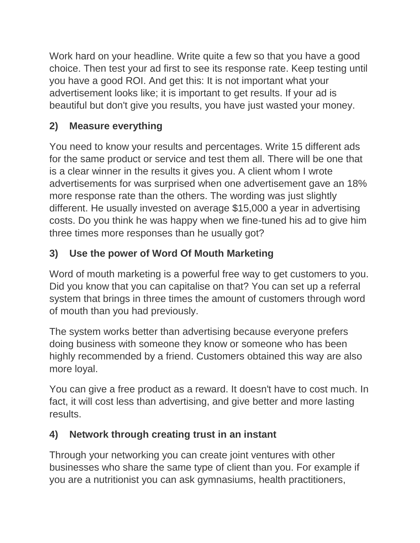Work hard on your headline. Write quite a few so that you have a good choice. Then test your ad first to see its response rate. Keep testing until you have a good ROI. And get this: It is not important what your advertisement looks like; it is important to get results. If your ad is beautiful but don't give you results, you have just wasted your money.

### **2) Measure everything**

You need to know your results and percentages. Write 15 different ads for the same product or service and test them all. There will be one that is a clear winner in the results it gives you. A client whom I wrote advertisements for was surprised when one advertisement gave an 18% more response rate than the others. The wording was just slightly different. He usually invested on average \$15,000 a year in advertising costs. Do you think he was happy when we fine-tuned his ad to give him three times more responses than he usually got?

## **3) Use the power of Word Of Mouth Marketing**

Word of mouth marketing is a powerful free way to get customers to you. Did you know that you can capitalise on that? You can set up a referral system that brings in three times the amount of customers through word of mouth than you had previously.

The system works better than advertising because everyone prefers doing business with someone they know or someone who has been highly recommended by a friend. Customers obtained this way are also more loyal.

You can give a free product as a reward. It doesn't have to cost much. In fact, it will cost less than advertising, and give better and more lasting results.

#### **4) Network through creating trust in an instant**

Through your networking you can create joint ventures with other businesses who share the same type of client than you. For example if you are a nutritionist you can ask gymnasiums, health practitioners,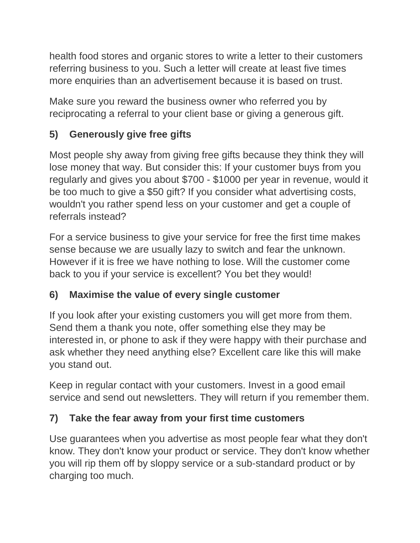health food stores and organic stores to write a letter to their customers referring business to you. Such a letter will create at least five times more enquiries than an advertisement because it is based on trust.

Make sure you reward the business owner who referred you by reciprocating a referral to your client base or giving a generous gift.

#### **5) Generously give free gifts**

Most people shy away from giving free gifts because they think they will lose money that way. But consider this: If your customer buys from you regularly and gives you about \$700 - \$1000 per year in revenue, would it be too much to give a \$50 gift? If you consider what advertising costs, wouldn't you rather spend less on your customer and get a couple of referrals instead?

For a service business to give your service for free the first time makes sense because we are usually lazy to switch and fear the unknown. However if it is free we have nothing to lose. Will the customer come back to you if your service is excellent? You bet they would!

#### **6) Maximise the value of every single customer**

If you look after your existing customers you will get more from them. Send them a thank you note, offer something else they may be interested in, or phone to ask if they were happy with their purchase and ask whether they need anything else? Excellent care like this will make you stand out.

Keep in regular contact with your customers. Invest in a good email service and send out newsletters. They will return if you remember them.

#### **7) Take the fear away from your first time customers**

Use guarantees when you advertise as most people fear what they don't know. They don't know your product or service. They don't know whether you will rip them off by sloppy service or a sub-standard product or by charging too much.